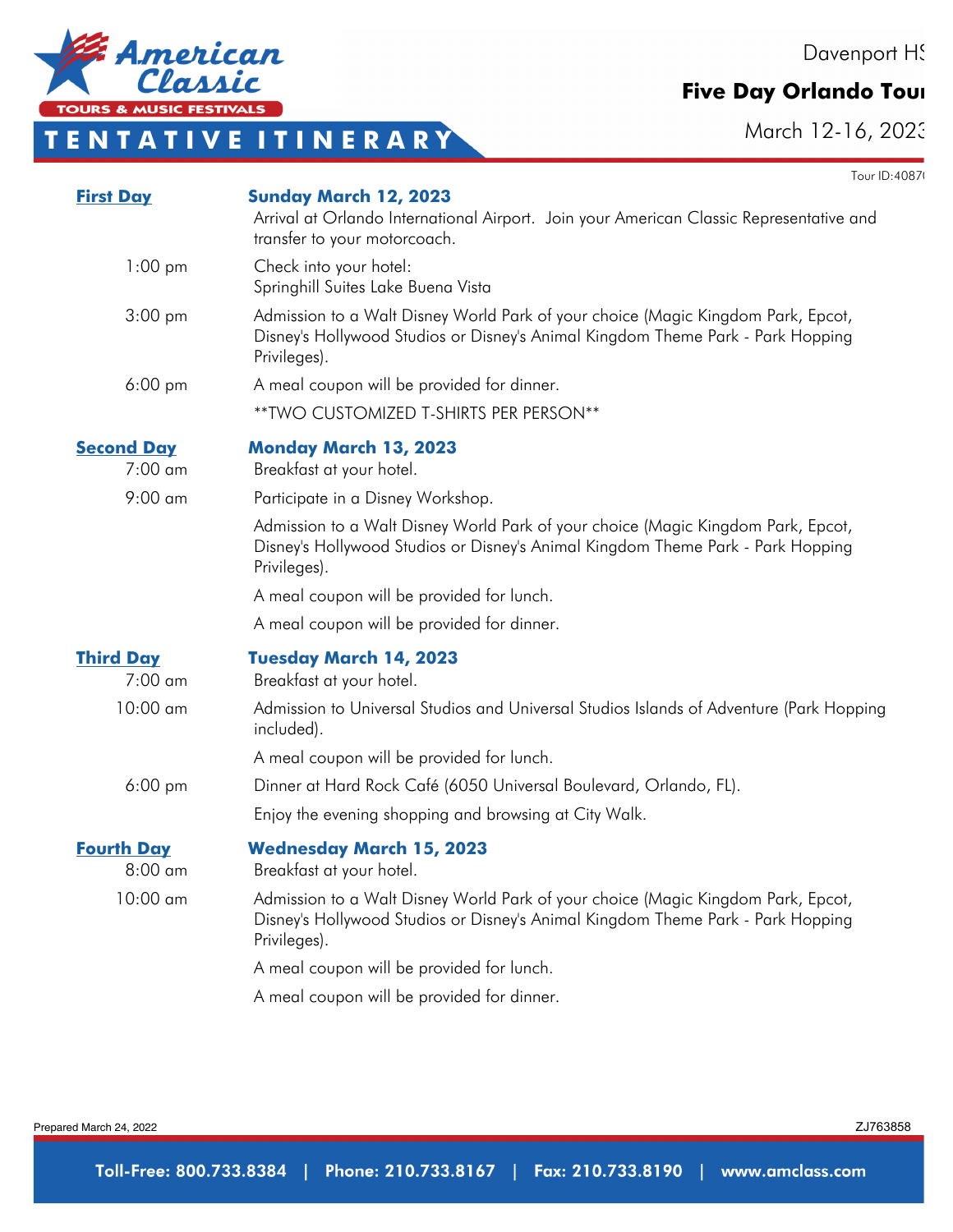Davenport HS

Tour ID: 4087

#### **Five Day Orlando Tour**

March 12-16, 2023

ZJ763858

Prepared March 24, 2022

| <b>First Day</b>               | <b>Sunday March 12, 2023</b><br>Arrival at Orlando International Airport. Join your American Classic Representative and<br>transfer to your motorcoach.                             |  |  |
|--------------------------------|-------------------------------------------------------------------------------------------------------------------------------------------------------------------------------------|--|--|
| $1:00 \text{ pm}$              | Check into your hotel:<br>Springhill Suites Lake Buena Vista                                                                                                                        |  |  |
| $3:00 \text{ pm}$              | Admission to a Walt Disney World Park of your choice (Magic Kingdom Park, Epcot,<br>Disney's Hollywood Studios or Disney's Animal Kingdom Theme Park - Park Hopping<br>Privileges). |  |  |
| $6:00 \text{ pm}$              | A meal coupon will be provided for dinner.                                                                                                                                          |  |  |
|                                | ** TWO CUSTOMIZED T-SHIRTS PER PERSON**                                                                                                                                             |  |  |
| <b>Second Day</b><br>$7:00$ am | <b>Monday March 13, 2023</b><br>Breakfast at your hotel.                                                                                                                            |  |  |
| $9:00$ am                      | Participate in a Disney Workshop.                                                                                                                                                   |  |  |
|                                | Admission to a Walt Disney World Park of your choice (Magic Kingdom Park, Epcot,<br>Disney's Hollywood Studios or Disney's Animal Kingdom Theme Park - Park Hopping<br>Privileges). |  |  |
|                                | A meal coupon will be provided for lunch.                                                                                                                                           |  |  |
|                                | A meal coupon will be provided for dinner.                                                                                                                                          |  |  |
| <b>Third Day</b><br>$7:00$ am  | <b>Tuesday March 14, 2023</b><br>Breakfast at your hotel.                                                                                                                           |  |  |
| $10:00$ am                     | Admission to Universal Studios and Universal Studios Islands of Adventure (Park Hopping<br>included).                                                                               |  |  |
|                                | A meal coupon will be provided for lunch.                                                                                                                                           |  |  |
| $6:00$ pm                      | Dinner at Hard Rock Café (6050 Universal Boulevard, Orlando, FL).                                                                                                                   |  |  |
|                                | Enjoy the evening shopping and browsing at City Walk.                                                                                                                               |  |  |
| <b>Fourth Day</b><br>$8:00$ am | <b>Wednesday March 15, 2023</b><br>Breakfast at your hotel.                                                                                                                         |  |  |
| $10:00$ am                     | Admission to a Walt Disney World Park of your choice (Magic Kingdom Park, Epcot,<br>Disney's Hollywood Studios or Disney's Animal Kingdom Theme Park - Park Hopping<br>Privileges). |  |  |
|                                | A meal coupon will be provided for lunch.                                                                                                                                           |  |  |
|                                | A meal coupon will be provided for dinner.                                                                                                                                          |  |  |



## **T E N T A T I V E I T I N E R A R Y**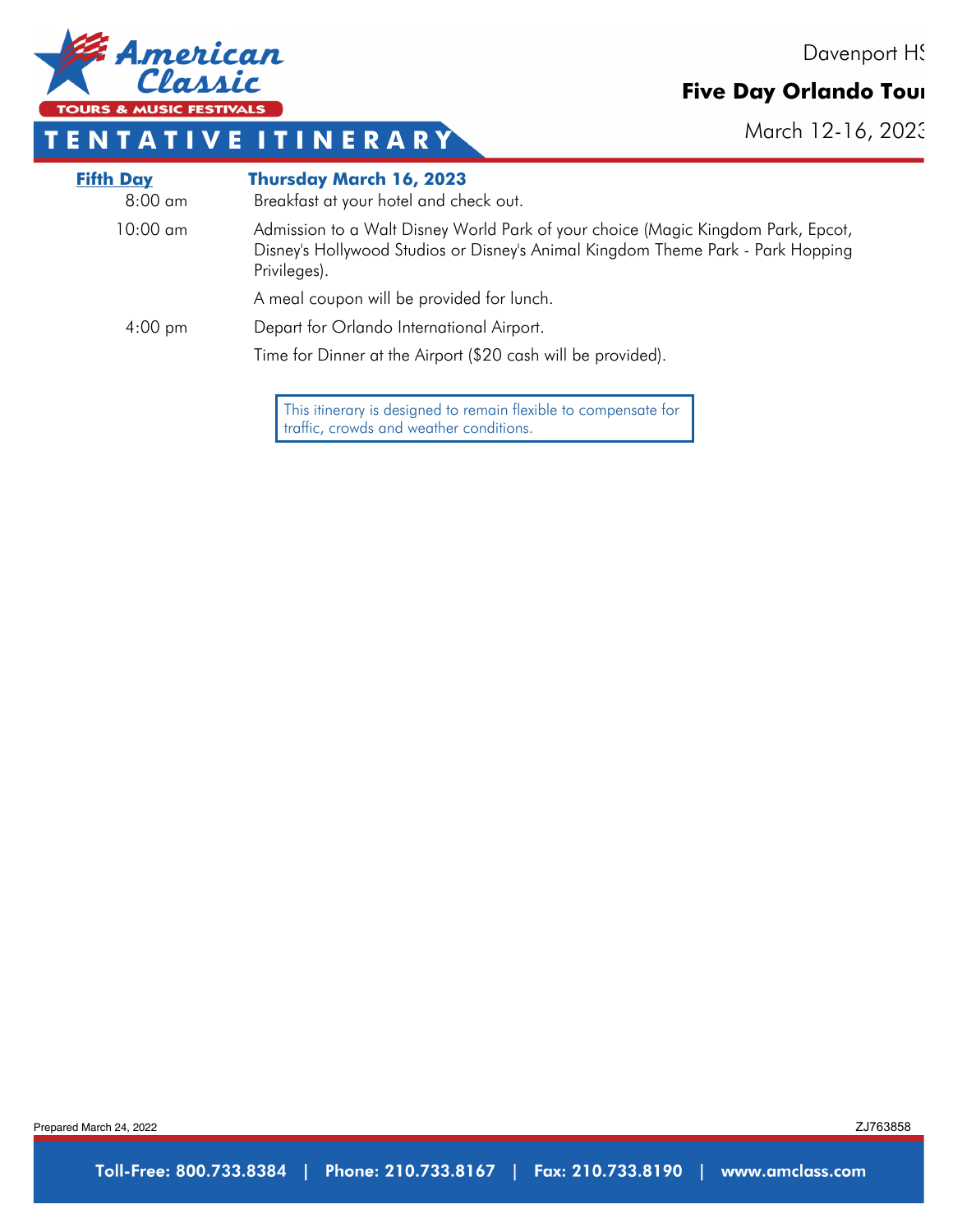

#### **Five Day Orlando Tour**

March 12-16, 2023



### **T E N T A T I V E I T I N E R A R Y**

| <b>Fifth Day</b><br>$8:00 \text{ cm}$ | <b>Thursday March 16, 2023</b><br>Breakfast at your hotel and check out.                                                                                                            |
|---------------------------------------|-------------------------------------------------------------------------------------------------------------------------------------------------------------------------------------|
| $10:00 \text{ cm}$                    | Admission to a Walt Disney World Park of your choice (Magic Kingdom Park, Epcot,<br>Disney's Hollywood Studios or Disney's Animal Kingdom Theme Park - Park Hopping<br>Privileges). |
|                                       | A meal coupon will be provided for lunch.                                                                                                                                           |
| $4:00 \text{ pm}$                     | Depart for Orlando International Airport.                                                                                                                                           |
|                                       | Time for Dinner at the Airport (\$20 cash will be provided).                                                                                                                        |
|                                       |                                                                                                                                                                                     |

This itinerary is designed to remain flexible to compensate for traffic, crowds and weather conditions.

Prepared March 24, 2022

ZJ763858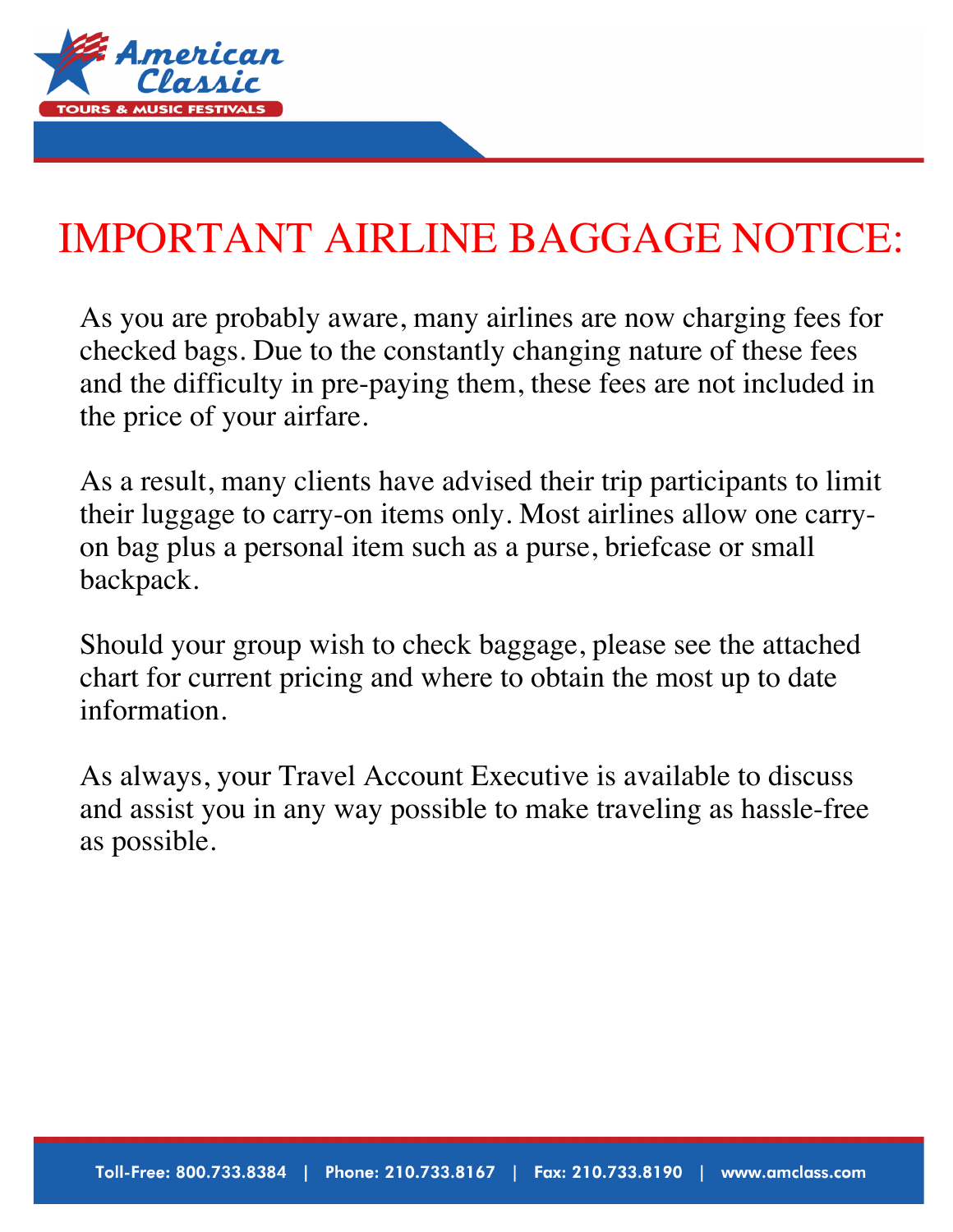

# IMPORTANT AIRLINE BAGGAGE NOTICE:

As you are probably aware, many airlines are now charging fees for checked bags. Due to the constantly changing nature of these fees and the difficulty in pre-paying them, these fees are not included in the price of your airfare.

As a result, many clients have advised their trip participants to limit their luggage to carry-on items only. Most airlines allow one carryon bag plus a personal item such as a purse, briefcase or small backpack.

Should your group wish to check baggage, please see the attached chart for current pricing and where to obtain the most up to date information.

As always, your Travel Account Executive is available to discuss and assist you in any way possible to make traveling as hassle-free as possible.